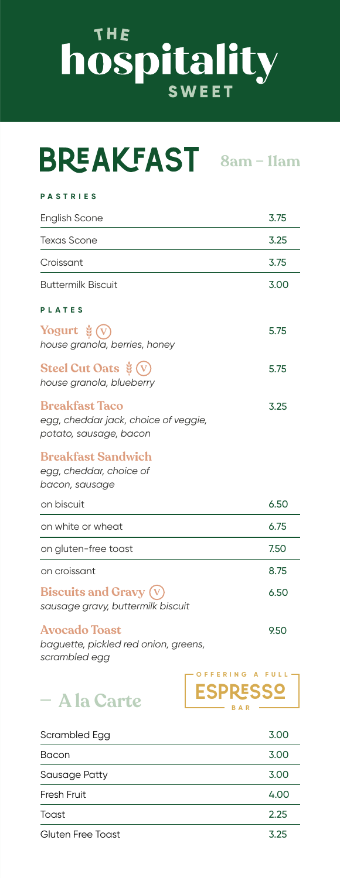## THE hospitality

## **8am – 11am**

#### **PASTRIES**

| <b>English Scone</b>                                                                    | 3.75 |
|-----------------------------------------------------------------------------------------|------|
| <b>Texas Scone</b>                                                                      | 3.25 |
| Croissant                                                                               | 3.75 |
| <b>Buttermilk Biscuit</b>                                                               | 3.00 |
| <b>PLATES</b>                                                                           |      |
| Yogurt $\dot{\mathbf{g}}(\mathbf{v})$<br>house granola, berries, honey                  | 5.75 |
| Steel Cut Oats $\check{\mathscr{G}}(V)$<br>house granola, blueberry                     | 5.75 |
| <b>Breakfast Taco</b><br>egg, cheddar jack, choice of veggie,<br>potato, sausage, bacon | 3.25 |
| <b>Breakfast Sandwich</b><br>egg, cheddar, choice of<br>bacon, sausage                  |      |
| on biscuit                                                                              | 6.50 |
| on white or wheat                                                                       | 6.75 |
| on gluten-free toast                                                                    | 7.50 |
| on croissant                                                                            | 8.75 |
| <b>Biscuits and Gravy (V</b><br>sausage gravy, buttermilk biscuit                       | 6.50 |
| <b>Avocado Toast</b>                                                                    | 9.50 |

*baguette, pickled red onion, greens, scrambled egg*

### **A la Carte**

| Scrambled Egg     | 3.00 |
|-------------------|------|
| Bacon             | 3.00 |
| Sausage Patty     | 3.00 |
| Fresh Fruit       | 4.00 |
| Toast             | 2.25 |
| Gluten Free Toast | 3 25 |

Espresso **OFFERING A FULL**

**BAR**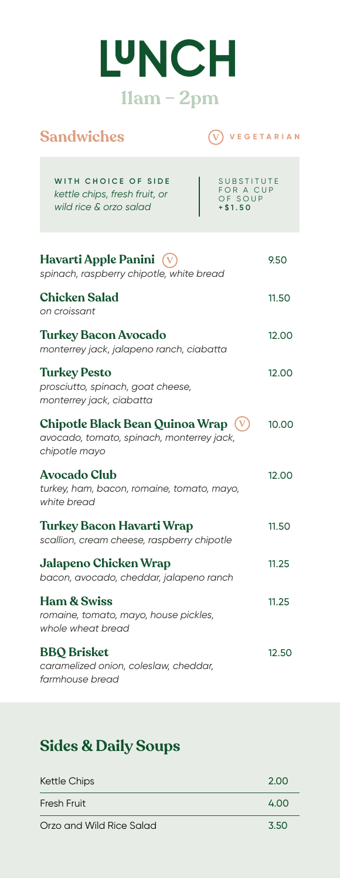## **LUNCH 11am – 2pm**

#### **Sandwiches**

#### **V VEGETARIAN**

| WITH CHOICE OF SIDE<br>SUBSTITUTE<br>FOR A CUP<br>kettle chips, fresh fruit, or<br>OF SOUP<br>wild rice & orzo salad<br>$+ $1.50$ |       |
|-----------------------------------------------------------------------------------------------------------------------------------|-------|
| Havarti Apple Panini (v<br>spinach, raspberry chipotle, white bread                                                               | 9.50  |
| <b>Chicken Salad</b><br>on croissant                                                                                              | 11.50 |
| <b>Turkey Bacon Avocado</b><br>monterrey jack, jalapeno ranch, ciabatta                                                           | 12.00 |
| <b>Turkey Pesto</b><br>prosciutto, spinach, goat cheese,<br>monterrey jack, ciabatta                                              | 12.00 |
| Chipotle Black Bean Quinoa Wrap<br>avocado, tomato, spinach, monterrey jack,<br>chipotle mayo                                     | 10.00 |
| <b>Avocado Club</b><br>turkey, ham, bacon, romaine, tomato, mayo,<br>white bread                                                  | 12.00 |
| <b>Turkey Bacon Havarti Wrap</b><br>scallion, cream cheese, raspberry chipotle                                                    | 11.50 |
| <b>Jalapeno Chicken Wrap</b><br>bacon, avocado, cheddar, jalapeno ranch                                                           | 11.25 |
| <b>Ham &amp; Swiss</b><br>romaine, tomato, mayo, house pickles,<br>whole wheat bread                                              | 11.25 |
| <b>BBQ</b> Brisket<br>caramelized onion, coleslaw, cheddar,<br>farmhouse bread                                                    | 12.50 |

#### **Sides & Daily Soups**

| <b>Kettle Chips</b>      | 2.00 |
|--------------------------|------|
| Fresh Fruit              | 4.00 |
| Orzo and Wild Rice Salad | 3.50 |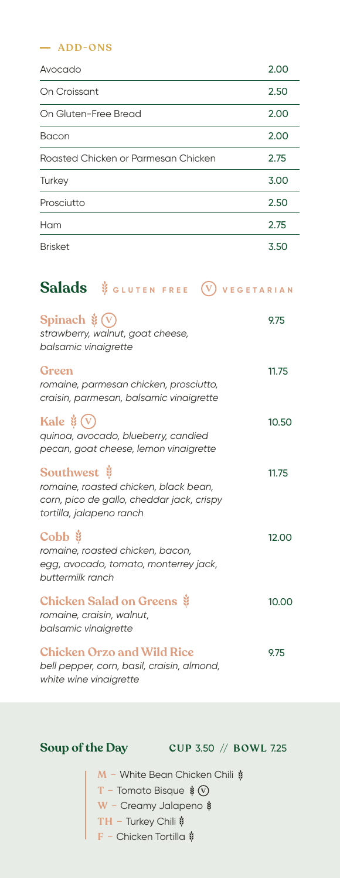#### **ADD-ONS**

| Avocado                             | 2.00 |
|-------------------------------------|------|
| On Croissant                        | 2.50 |
| On Gluten-Free Bread                | 2.00 |
| Bacon                               | 2.00 |
| Roasted Chicken or Parmesan Chicken | 2.75 |
| Turkey                              | 3.00 |
| Prosciutto                          | 2.50 |
| Ham                                 | 2.75 |
| <b>Brisket</b>                      | 3.50 |

#### **Salads** \$ GLUTEN FREE (V VEGETARIAN

| Spinach $\dot{\mathscr{Z}}(v)$<br>strawberry, walnut, goat cheese,<br>balsamic vinaigrette                                                               | 9.75  |
|----------------------------------------------------------------------------------------------------------------------------------------------------------|-------|
| Green<br>romaine, parmesan chicken, prosciutto,<br>craisin, parmesan, balsamic vinaigrette                                                               | 11.75 |
| Kale $\dot{\mathbf{y}}(\mathbf{v})$<br>quinoa, avocado, blueberry, candied<br>pecan, goat cheese, lemon vinaigrette                                      | 10.50 |
| Southwest $\ddot{\mathbf{\mathsf{y}}}$<br>romaine, roasted chicken, black bean,<br>corn, pico de gallo, cheddar jack, crispy<br>tortilla, jalapeno ranch | 11.75 |
| Cobb $\ddot{\mathbf{\mathsf{y}}}$<br>romaine, roasted chicken, bacon,<br>egg, avocado, tomato, monterrey jack,<br>buttermilk ranch                       | 12.00 |
| <b>Chicken Salad on Greens</b><br>romaine, craisin, walnut,<br>balsamic vinaigrette                                                                      | 10.00 |
| <b>Chicken Orzo and Wild Rice</b><br>bell pepper, corn, basil, craisin, almond,<br>white wine vinaigrette                                                | 9.75  |

**Soup of the Day CUP** 3.50 // **BOWL** 7.25

**M** − White Bean Chicken Chili  $\dot{$ **T –** Tomato Bisque **W –** Creamy Jalapeno **TH –** Turkey Chili **F –** Chicken Tortilla **V**